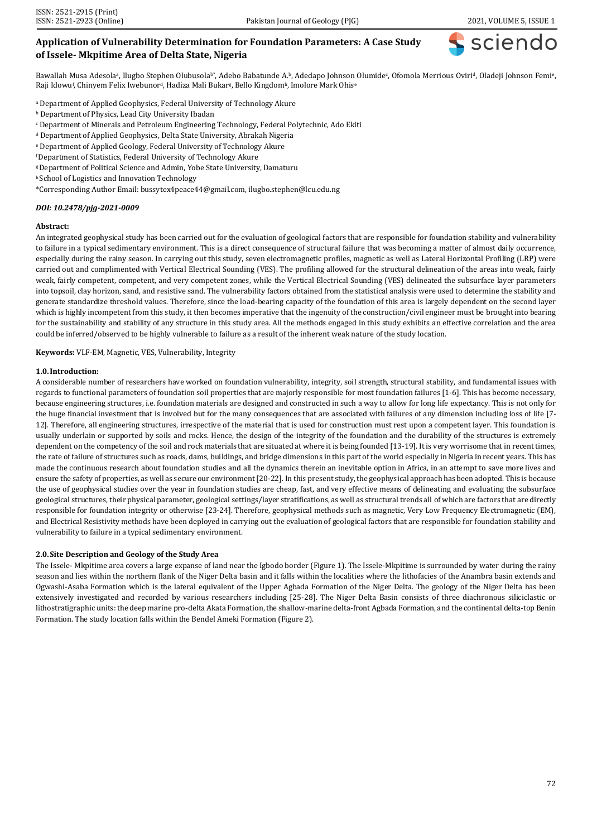sciend

# **Application of Vulnerability Determination for Foundation Parameters: A Case Study of Issele- Mkpitime Area of Delta State, Nigeria**

Bawallah Musa Adesola<sup>a</sup>, Ilugbo Stephen Olubusola<sup>b+</sup>, Adebo Babatunde A.b, Adedapo Johnson Olumide<sup>c</sup>, Ofomola Merrious Oviri<sup>d</sup>, Oladeji Johnson Femi<sup>e</sup>, Raji Idowu<sup>f</sup>, Chinyem Felix Iwebunor<sup>d</sup>, Hadiza Mali Bukar<sup>g</sup>, Bello Kingdom<sup>h</sup>, Imolore Mark Ohis<sup>e</sup>

- <sup>a</sup> Department of Applied Geophysics, Federal University of Technology Akure
- <sup>b</sup> Department of Physics, Lead City University Ibadan
- <sup>c</sup> Department of Minerals and Petroleum Engineering Technology, Federal Polytechnic, Ado Ekiti
- <sup>d</sup> Department of Applied Geophysics, Delta State University, Abrakah Nigeria
- <sup>e</sup> Department of Applied Geology, Federal University of Technology Akure
- <sup>f</sup>Department of Statistics, Federal University of Technology Akure
- <sup>g</sup>Department of Political Science and Admin, Yobe State University, Damaturu
- h School of Logistics and Innovation Technology
- \*Corresponding Author Email[: bussytex4peace44@gmail.com,](mailto:bussytex4peace44@gmail.com) [ilugbo.stephen@lcu.edu.ng](mailto:ilugbo.stephen@lcu.edu.ng)

#### *DOI: 10.2478/pjg-2021-0009*

#### **Abstract:**

An integrated geophysical study has been carried out for the evaluation of geological factors that are responsible for foundation stability and vulnerability to failure in a typical sedimentary environment. This is a direct consequence of structural failure that was becoming a matter of almost daily occurrence, especially during the rainy season. In carrying out this study, seven electromagnetic profiles, magnetic as well as Lateral Horizontal Profiling (LRP) were carried out and complimented with Vertical Electrical Sounding (VES). The profiling allowed for the structural delineation of the areas into weak, fairly weak, fairly competent, competent, and very competent zones, while the Vertical Electrical Sounding (VES) delineated the subsurface layer parameters into topsoil, clay horizon, sand, and resistive sand. The vulnerability factors obtained from the statistical analysis were used to determine the stability and generate standardize threshold values. Therefore, since the load-bearing capacity of the foundation of this area is largely dependent on the second layer which is highly incompetent from this study, it then becomes imperative that the ingenuity of the construction/civil engineer must be brought into bearing for the sustainability and stability of any structure in this study area. All the methods engaged in this study exhibits an effective correlation and the area could be inferred/observed to be highly vulnerable to failure as a result of the inherent weak nature of the study location.

**Keywords:** VLF-EM, Magnetic, VES, Vulnerability, Integrity

#### **1.0.Introduction:**

A considerable number of researchers have worked on foundation vulnerability, integrity, soil strength, structural stability, and fundamental issues with regards to functional parameters of foundation soil properties that are majorly responsible for most foundation failures [1-6]. This has become necessary, because engineering structures, i.e. foundation materials are designed and constructed in such a way to allow for long life expectancy. This is not only for the huge financial investment that is involved but for the many consequences that are associated with failures of any dimension including loss of life [7- 12]. Therefore, all engineering structures, irrespective of the material that is used for construction must rest upon a competent layer. This foundation is usually underlain or supported by soils and rocks. Hence, the design of the integrity of the foundation and the durability of the structures is extremely dependent on the competency of the soil and rock materials that are situated at where it is being founded [13-19]. It is very worrisome that in recent times, the rate of failure of structures such as roads, dams, buildings, and bridge dimensions in this part of the world especially in Nigeria in recent years. This has made the continuous research about foundation studies and all the dynamics therein an inevitable option in Africa, in an attempt to save more lives and ensure the safety of properties, as well as secure our environment [20-22]. In this present study, the geophysical approach has been adopted. This is because the use of geophysical studies over the year in foundation studies are cheap, fast, and very effective means of delineating and evaluating the subsurface geological structures, their physical parameter, geological settings/layer stratifications, as well as structural trends all of which are factors that are directly responsible for foundation integrity or otherwise [23-24]. Therefore, geophysical methods such as magnetic, Very Low Frequency Electromagnetic (EM), and Electrical Resistivity methods have been deployed in carrying out the evaluation of geological factors that are responsible for foundation stability and vulnerability to failure in a typical sedimentary environment.

#### **2.0.Site Description and Geology of the Study Area**

The Issele- Mkpitime area covers a large expanse of land near the Igbodo border (Figure 1). The Issele-Mkpitime is surrounded by water during the rainy season and lies within the northern flank of the Niger Delta basin and it falls within the localities where the lithofacies of the Anambra basin extends and Ogwashi-Asaba Formation which is the lateral equivalent of the Upper Agbada Formation of the Niger Delta. The geology of the Niger Delta has been extensively investigated and recorded by various researchers including [25-28]. The Niger Delta Basin consists of three diachronous siliciclastic or lithostratigraphic units: the deep marine pro-delta Akata Formation, the shallow-marine delta-front Agbada Formation, and the continental delta-top Benin Formation. The study location falls within the Bendel Ameki Formation (Figure 2).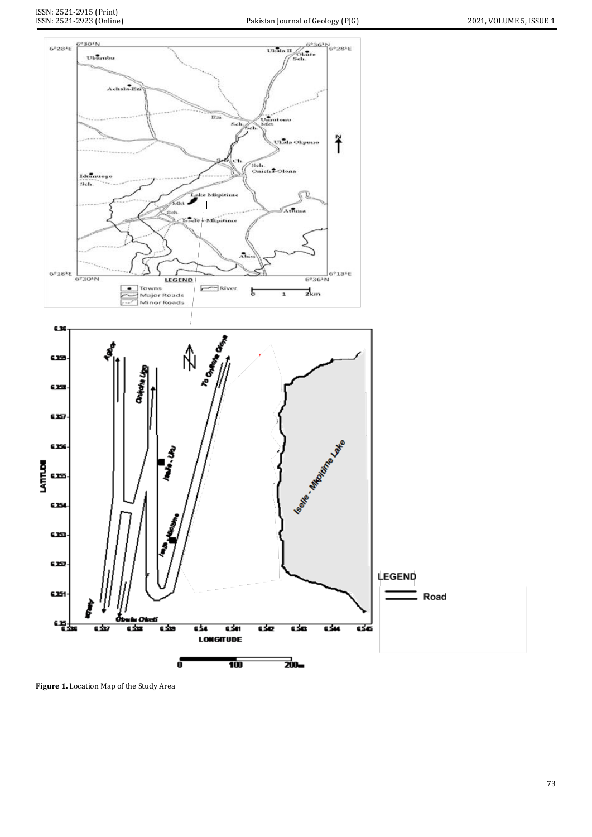

**Figure 1.** Location Map of the Study Area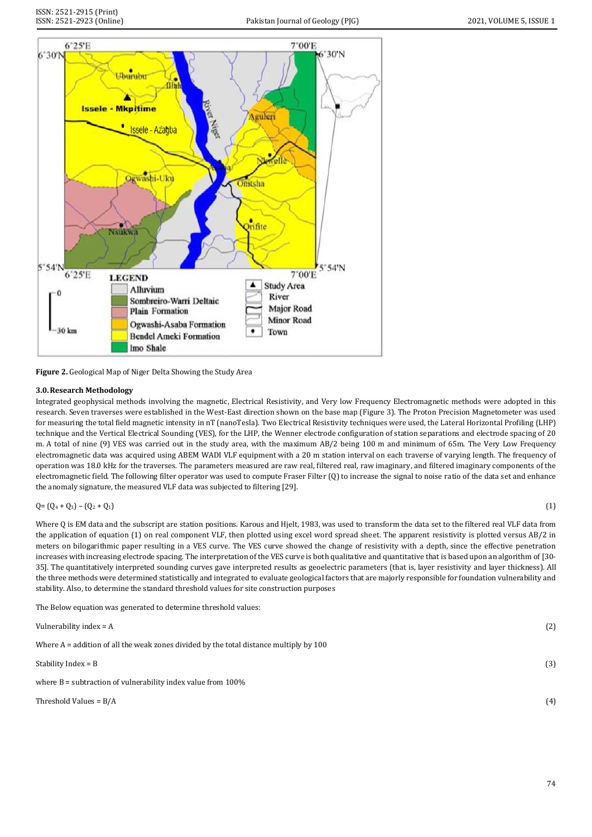

**Figure 2.** Geological Map of Niger Delta Showing the Study Area

# **3.0.Research Methodology**

Integrated geophysical methods involving the magnetic, Electrical Resistivity, and Very low Frequency Electromagnetic methods were adopted in this research. Seven traverses were established in the West-East direction shown on the base map (Figure 3). The Proton Precision Magnetometer was used for measuring the total field magnetic intensity in nT (nanoTesla). Two Electrical Resistivity techniques were used, the Lateral Horizontal Profiling (LHP) technique and the Vertical Electrical Sounding (VES), for the LHP, the Wenner electrode configuration of station separations and electrode spacing of 20 m. A total of nine (9) VES was carried out in the study area, with the maximum AB/2 being 100 m and minimum of 65m. The Very Low Frequency electromagnetic data was acquired using ABEM WADI VLF equipment with a 20 m station interval on each traverse of varying length. The frequency of operation was 18.0 kHz for the traverses. The parameters measured are raw real, filtered real, raw imaginary, and filtered imaginary components of the electromagnetic field. The following filter operator was used to compute Fraser Filter (Q) to increase the signal to noise ratio of the data set and enhance the anomaly signature, the measured VLF data was subjected to filtering [29].

```
Q = (Q_4 + Q_3) - (Q_2 + Q_1) (1)
```
Where Q is EM data and the subscript are station positions. Karous and Hjelt, 1983, was used to transform the data set to the filtered real VLF data from the application of equation (1) on real component VLF, then plotted using excel word spread sheet. The apparent resistivity is plotted versus AB/2 in meters on bilogarithmic paper resulting in a VES curve. The VES curve showed the change of resistivity with a depth, since the effective penetration increases with increasing electrode spacing. The interpretation of the VES curve is both qualitative and quantitative that is based upon an algorithm of [30- 35]. The quantitatively interpreted sounding curves gave interpreted results as geoelectric parameters (that is, layer resistivity and layer thickness). All the three methods were determined statistically and integrated to evaluate geological factors that are majorly responsible for foundation vulnerability and stability. Also, to determine the standard threshold values for site construction purposes

The Below equation was generated to determine threshold values:

| Vulnerability index = A                                                                | (2) |
|----------------------------------------------------------------------------------------|-----|
| Where A = addition of all the weak zones divided by the total distance multiply by 100 |     |
| Stability Index = B                                                                    | (3) |
| where $B =$ subtraction of vulnerability index value from $100\%$                      |     |
| Threshold Values = B/A                                                                 | (4) |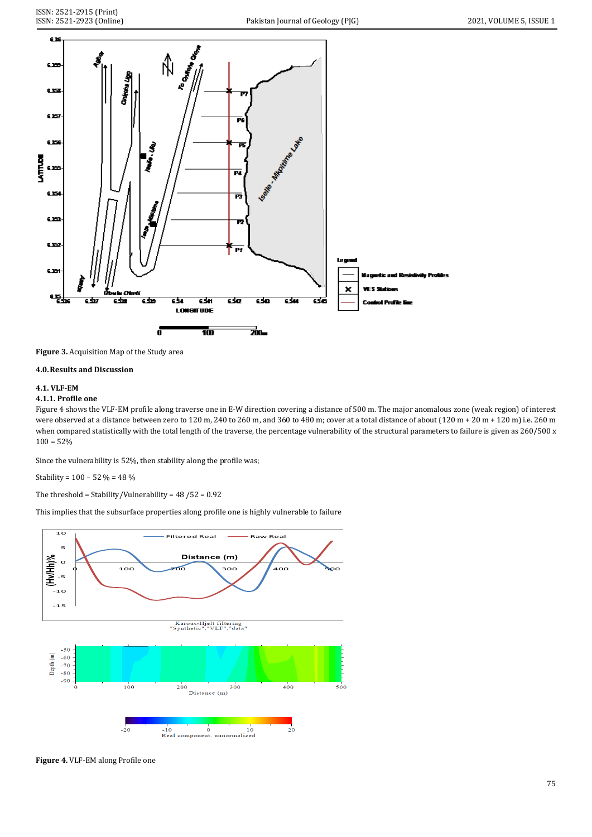

**Figure 3.** Acquisition Map of the Study area

# **4.0.Results and Discussion**

# **4.1. VLF-EM**

# **4.1.1. Profile one**

Figure 4 shows the VLF-EM profile along traverse one in E-W direction covering a distance of 500 m. The major anomalous zone (weak region) of interest were observed at a distance between zero to 120 m, 240 to 260 m, and 360 to 480 m; cover at a total distance of about (120 m + 20 m + 120 m) i.e. 260 m when compared statistically with the total length of the traverse, the percentage vulnerability of the structural parameters to failure is given as 260/500 x  $100 = 52%$ 

Since the vulnerability is 52%, then stability along the profile was;

Stability = 100 – 52 % = 48 %

The threshold = Stability/Vulnerability = 48 /52 = 0.92

This implies that the subsurface properties along profile one is highly vulnerable to failure



**Figure 4.** VLF-EM along Profile one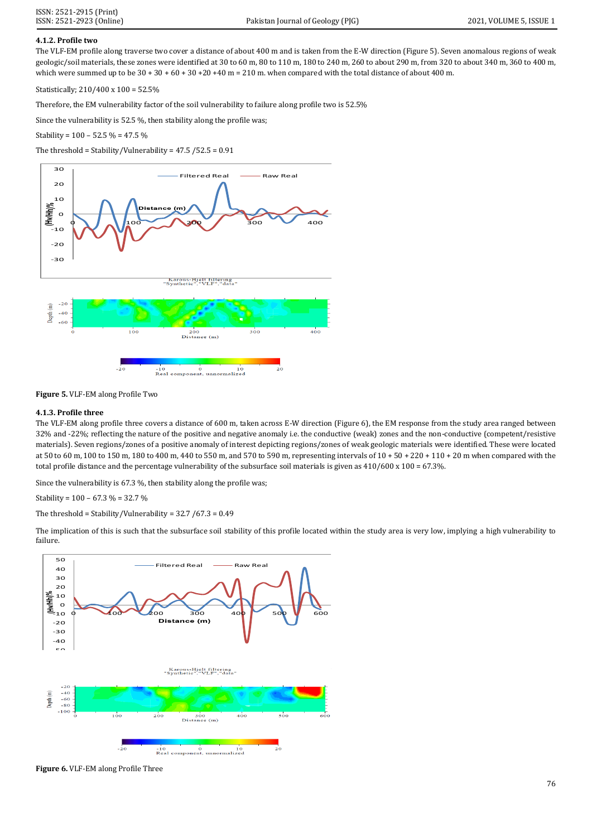# **4.1.2. Profile two**

The VLF-EM profile along traverse two cover a distance of about 400 m and is taken from the E-W direction (Figure 5). Seven anomalous regions of weak geologic/soil materials, these zones were identified at 30 to 60 m, 80 to 110 m, 180 to 240 m, 260 to about 290 m, from 320 to about 340 m, 360 to 400 m, which were summed up to be  $30 + 30 + 60 + 30 + 20 + 40$  m = 210 m, when compared with the total distance of about 400 m.

Statistically; 210/400 x 100 = 52.5%

Therefore, the EM vulnerability factor of the soil vulnerability to failure along profile two is 52.5%

Since the vulnerability is 52.5 %, then stability along the profile was;

Stability = 100 – 52.5 % = 47.5 %

The threshold = Stability/Vulnerability = 47.5 /52.5 = 0.91



**Figure 5.** VLF-EM along Profile Two

#### **4.1.3. Profile three**

The VLF-EM along profile three covers a distance of 600 m, taken across E-W direction (Figure 6), the EM response from the study area ranged between 32% and -22%; reflecting the nature of the positive and negative anomaly i.e. the conductive (weak) zones and the non-conductive (competent/resistive materials). Seven regions/zones of a positive anomaly of interest depicting regions/zones of weak geologic materials were identified. These were located at 50 to 60 m, 100 to 150 m, 180 to 400 m, 440 to 550 m, and 570 to 590 m, representing intervals of 10 + 50 + 220 + 110 + 20 m when compared with the total profile distance and the percentage vulnerability of the subsurface soil materials is given as  $410/600 \times 100 = 67.3\%$ .

Since the vulnerability is 67.3 %, then stability along the profile was;

Stability =  $100 - 67.3 % = 32.7 %$ 

The threshold = Stability/Vulnerability = 32.7 /67.3 = 0.49

The implication of this is such that the subsurface soil stability of this profile located within the study area is very low, implying a high vulnerability to failure.



**Figure 6.** VLF-EM along Profile Three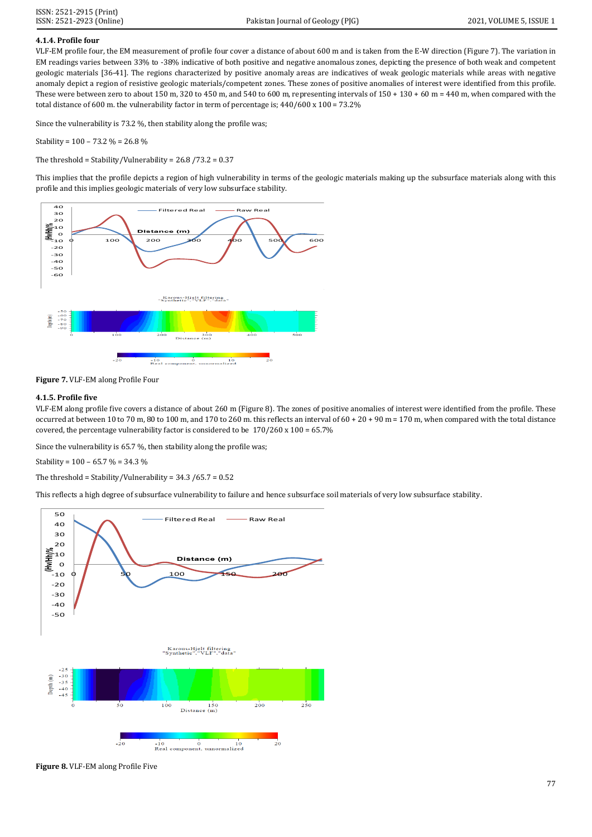# **4.1.4. Profile four**

VLF-EM profile four, the EM measurement of profile four cover a distance of about 600 m and is taken from the E-W direction (Figure 7). The variation in EM readings varies between 33% to -38% indicative of both positive and negative anomalous zones, depicting the presence of both weak and competent geologic materials [36-41]. The regions characterized by positive anomaly areas are indicatives of weak geologic materials while areas with negative anomaly depict a region of resistive geologic materials/competent zones. These zones of positive anomalies of interest were identified from this profile. These were between zero to about 150 m, 320 to 450 m, and 540 to 600 m, representing intervals of  $150 + 130 + 60$  m = 440 m, when compared with the total distance of 600 m. the vulnerability factor in term of percentage is; 440/600 x 100 = 73.2%

Since the vulnerability is 73.2 %, then stability along the profile was;

Stability = 100 – 73.2 % = 26.8 %

The threshold = Stability/Vulnerability = 26.8 /73.2 = 0.37

This implies that the profile depicts a region of high vulnerability in terms of the geologic materials making up the subsurface materials along with this profile and this implies geologic materials of very low subsurface stability.



**Figure 7.** VLF-EM along Profile Four

## **4.1.5. Profile five**

VLF-EM along profile five covers a distance of about 260 m (Figure 8). The zones of positive anomalies of interest were identified from the profile. These occurred at between 10 to 70 m, 80 to 100 m, and 170 to 260 m. this reflects an interval of  $60 + 20 + 90$  m = 170 m, when compared with the total distance covered, the percentage vulnerability factor is considered to be 170/260 x 100 = 65.7%

Since the vulnerability is 65.7 %, then stability along the profile was;

Stability = 100 – 65.7 % = 34.3 %

The threshold = Stability/Vulnerability =  $34.3 / 65.7 = 0.52$ 



**Figure 8.** VLF-EM along Profile Five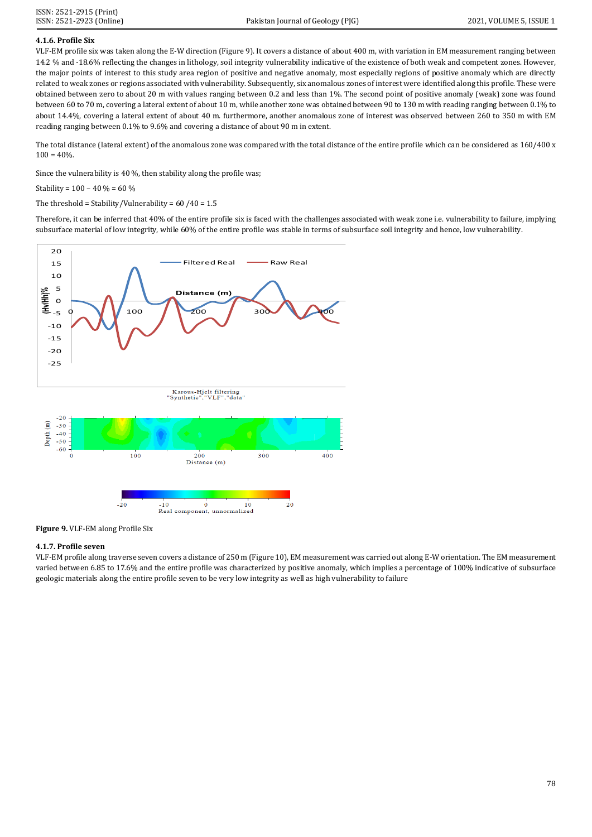# **4.1.6. Profile Six**

VLF-EM profile six was taken along the E-W direction (Figure 9). It covers a distance of about 400 m, with variation in EM measurement ranging between 14.2 % and -18.6% reflecting the changes in lithology, soil integrity vulnerability indicative of the existence of both weak and competent zones. However, the major points of interest to this study area region of positive and negative anomaly, most especially regions of positive anomaly which are directly related to weak zones or regions associated with vulnerability. Subsequently, six anomalous zones of interest were identified along this profile. These were obtained between zero to about 20 m with values ranging between 0.2 and less than 1%. The second point of positive anomaly (weak) zone was found between 60 to 70 m, covering a lateral extent of about 10 m, while another zone was obtained between 90 to 130 m with reading ranging between 0.1% to about 14.4%, covering a lateral extent of about 40 m. furthermore, another anomalous zone of interest was observed between 260 to 350 m with EM reading ranging between 0.1% to 9.6% and covering a distance of about 90 m in extent.

The total distance (lateral extent) of the anomalous zone was compared with the total distance of the entire profile which can be considered as 160/400 x  $100 = 40\%$ 

Since the vulnerability is 40 %, then stability along the profile was;

Stability =  $100 - 40 \% = 60 \%$ 

The threshold = Stability/Vulnerability =  $60/40 = 1.5$ 

Therefore, it can be inferred that 40% of the entire profile six is faced with the challenges associated with weak zone i.e. vulnerability to failure, implying subsurface material of low integrity, while 60% of the entire profile was stable in terms of subsurface soil integrity and hence, low vulnerability.



**Figure 9.** VLF-EM along Profile Six

## **4.1.7. Profile seven**

VLF-EM profile along traverse seven covers a distance of 250 m (Figure 10), EM measurement was carried out along E-W orientation. The EM measurement varied between 6.85 to 17.6% and the entire profile was characterized by positive anomaly, which implies a percentage of 100% indicative of subsurface geologic materials along the entire profile seven to be very low integrity as well as high vulnerability to failure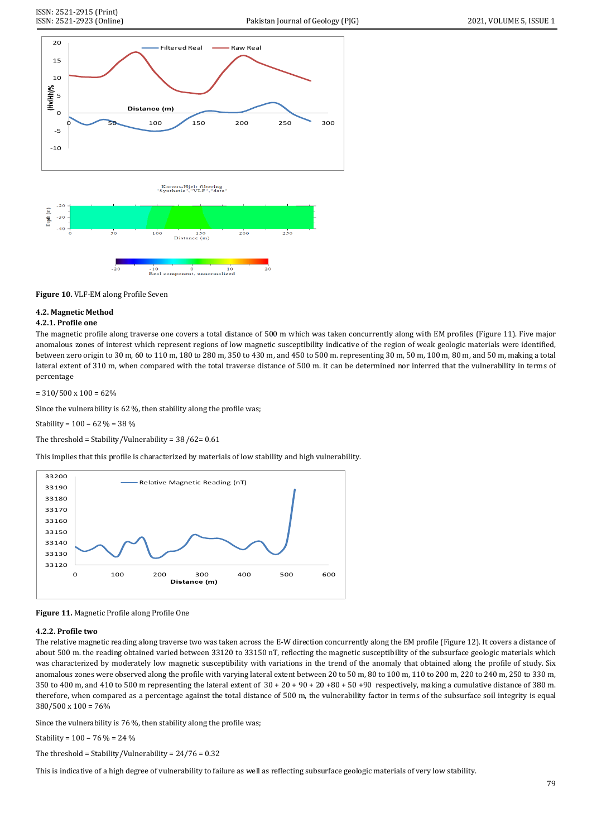



# **4.2. Magnetic Method**

# **4.2.1. Profile one**

The magnetic profile along traverse one covers a total distance of 500 m which was taken concurrently along with EM profiles (Figure 11). Five major anomalous zones of interest which represent regions of low magnetic susceptibility indicative of the region of weak geologic materials were identified, between zero origin to 30 m, 60 to 110 m, 180 to 280 m, 350 to 430 m, and 450 to 500 m. representing 30 m, 50 m, 100 m, 80 m, and 50 m, making a total lateral extent of 310 m, when compared with the total traverse distance of 500 m. it can be determined nor inferred that the vulnerability in terms of percentage

 $= 310/500 \times 100 = 62\%$ 

Since the vulnerability is 62 %, then stability along the profile was;

Stability = 100 – 62 % = 38 %

The threshold = Stability/Vulnerability = 38 /62= 0.61

This implies that this profile is characterized by materials of low stability and high vulnerability.





# **4.2.2. Profile two**

The relative magnetic reading along traverse two was taken across the E-W direction concurrently along the EM profile (Figure 12). It covers a distance of about 500 m. the reading obtained varied between 33120 to 33150 nT, reflecting the magnetic susceptibility of the subsurface geologic materials which was characterized by moderately low magnetic susceptibility with variations in the trend of the anomaly that obtained along the profile of study. Six anomalous zones were observed along the profile with varying lateral extent between 20 to 50 m, 80 to 100 m, 110 to 200 m, 220 to 240 m, 250 to 330 m, 350 to 400 m, and 410 to 500 m representing the lateral extent of  $30 + 20 + 90 + 20 + 80 + 50 + 90$  respectively, making a cumulative distance of 380 m. therefore, when compared as a percentage against the total distance of 500 m, the vulnerability factor in terms of the subsurface soil integrity is equal 380/500 x 100 = 76%

Since the vulnerability is 76 %, then stability along the profile was;

Stability =  $100 - 76 \% = 24 \%$ 

The threshold = Stability/Vulnerability =  $24/76 = 0.32$ 

This is indicative of a high degree of vulnerability to failure as well as reflecting subsurface geologic materials of very low stability.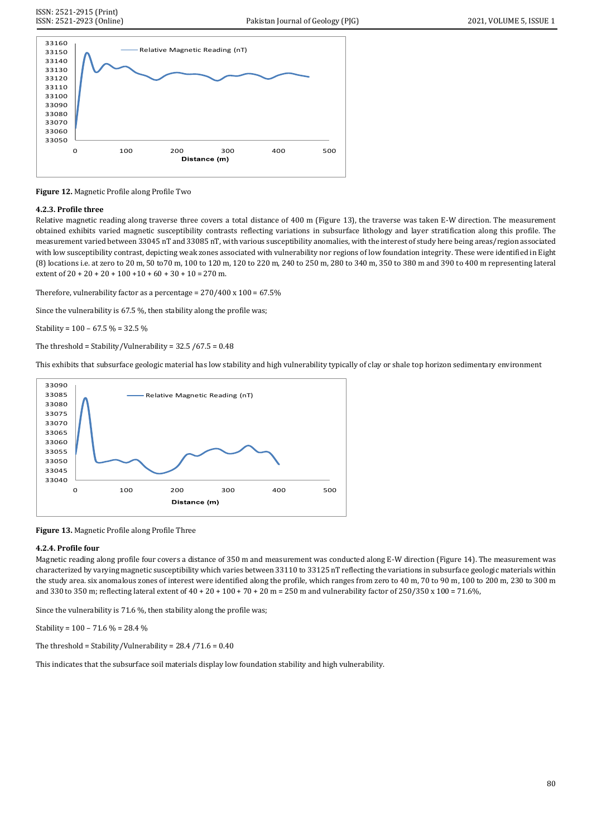

**Figure 12.** Magnetic Profile along Profile Two

#### **4.2.3. Profile three**

Relative magnetic reading along traverse three covers a total distance of 400 m (Figure 13), the traverse was taken E-W direction. The measurement obtained exhibits varied magnetic susceptibility contrasts reflecting variations in subsurface lithology and layer stratification along this profile. The measurement varied between 33045 nT and 33085 nT, with various susceptibility anomalies, with the interest of study here being areas/region associated with low susceptibility contrast, depicting weak zones associated with vulnerability nor regions of low foundation integrity. These were identified in Eight (8) locations i.e. at zero to 20 m, 50 to70 m, 100 to 120 m, 120 to 220 m, 240 to 250 m, 280 to 340 m, 350 to 380 m and 390 to 400 m representing lateral extent of  $20 + 20 + 20 + 100 + 10 + 60 + 30 + 10 = 270$  m.

Therefore, vulnerability factor as a percentage =  $270/400 \times 100 = 67.5\%$ 

Since the vulnerability is 67.5 %, then stability along the profile was;

Stability =  $100 - 67.5 % = 32.5 %$ 

The threshold = Stability/Vulnerability =  $32.5 / 67.5 = 0.48$ 

This exhibits that subsurface geologic material has low stability and high vulnerability typically of clay or shale top horizon sedimentary environment



**Figure 13.** Magnetic Profile along Profile Three

#### **4.2.4. Profile four**

Magnetic reading along profile four covers a distance of 350 m and measurement was conducted along E-W direction (Figure 14). The measurement was characterized by varying magnetic susceptibility which varies between 33110 to 33125 nT reflecting the variations in subsurface geologic materials within the study area. six anomalous zones of interest were identified along the profile, which ranges from zero to 40 m, 70 to 90 m, 100 to 200 m, 230 to 300 m and 330 to 350 m; reflecting lateral extent of  $40 + 20 + 100 + 70 + 20$  m = 250 m and vulnerability factor of 250/350 x 100 = 71.6%,

Since the vulnerability is 71.6 %, then stability along the profile was;

Stability =  $100 - 71.6 \% = 28.4 \%$ 

The threshold = Stability/Vulnerability = 28.4 /71.6 = 0.40

This indicates that the subsurface soil materials display low foundation stability and high vulnerability.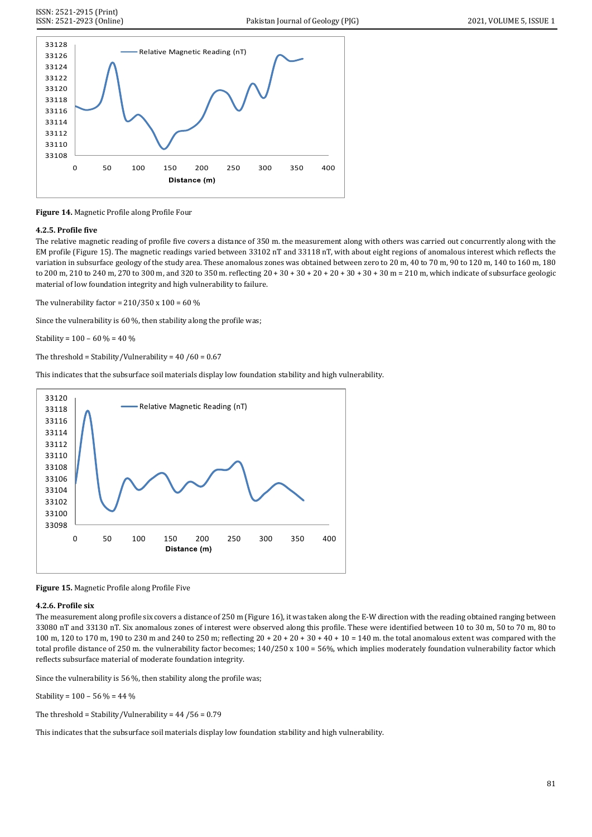

**Figure 14.** Magnetic Profile along Profile Four

# **4.2.5. Profile five**

The relative magnetic reading of profile five covers a distance of 350 m. the measurement along with others was carried out concurrently along with the EM profile (Figure 15). The magnetic readings varied between 33102 nT and 33118 nT, with about eight regions of anomalous interest which reflects the variation in subsurface geology of the study area. These anomalous zones was obtained between zero to 20 m, 40 to 70 m, 90 to 120 m, 140 to 160 m, 180 to 200 m, 210 to 240 m, 270 to 300 m, and 320 to 350 m. reflecting 20 + 30 + 30 + 20 + 20 + 30 + 30 + 30 m = 210 m, which indicate of subsurface geologic material of low foundation integrity and high vulnerability to failure.

The vulnerability factor =  $210/350 \times 100 = 60 \%$ 

Since the vulnerability is 60 %, then stability along the profile was;

Stability =  $100 - 60 \% = 40 \%$ 

The threshold = Stability/Vulnerability =  $40/60 = 0.67$ 

This indicates that the subsurface soil materials display low foundation stability and high vulnerability.



**Figure 15.** Magnetic Profile along Profile Five

# **4.2.6. Profile six**

The measurement along profile six covers a distance of 250 m (Figure 16), it was taken along the E-W direction with the reading obtained ranging between 33080 nT and 33130 nT. Six anomalous zones of interest were observed along this profile. These were identified between 10 to 30 m, 50 to 70 m, 80 to 100 m, 120 to 170 m, 190 to 230 m and 240 to 250 m; reflecting 20 + 20 + 20 + 30 + 40 + 10 = 140 m. the total anomalous extent was compared with the total profile distance of 250 m. the vulnerability factor becomes; 140/250 x 100 = 56%, which implies moderately foundation vulnerability factor which reflects subsurface material of moderate foundation integrity.

Since the vulnerability is 56 %, then stability along the profile was;

Stability =  $100 - 56 % = 44 %$ 

The threshold = Stability/Vulnerability =  $44/56 = 0.79$ 

This indicates that the subsurface soil materials display low foundation stability and high vulnerability.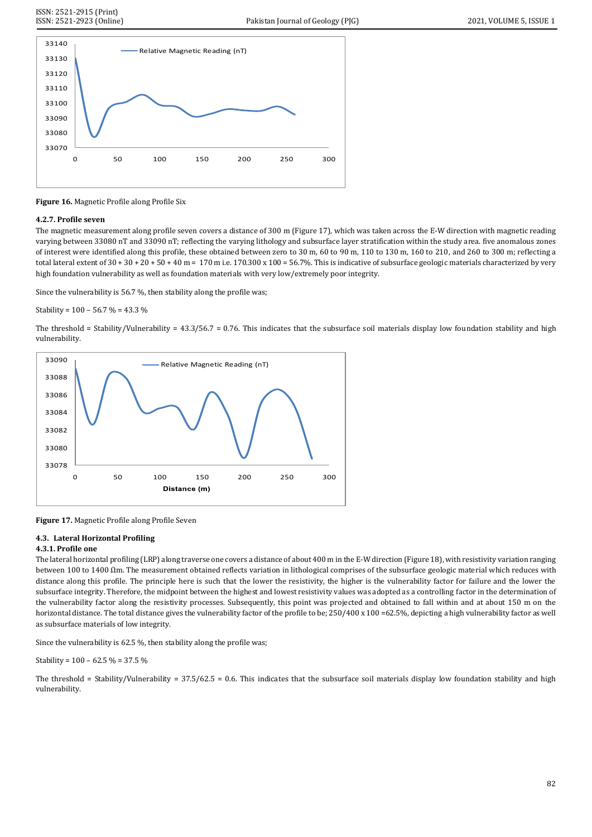

**Figure 16.** Magnetic Profile along Profile Six

## **4.2.7. Profile seven**

The magnetic measurement along profile seven covers a distance of 300 m (Figure 17), which was taken across the E-W direction with magnetic reading varying between 33080 nT and 33090 nT; reflecting the varying lithology and subsurface layer stratification within the study area. five anomalous zones of interest were identified along this profile, these obtained between zero to 30 m, 60 to 90 m, 110 to 130 m, 160 to 210, and 260 to 300 m; reflecting a total lateral extent of  $30 + 30 + 20 + 50 + 40$  m = 170 m i.e. 170.300 x 100 = 56.7%. This is indicative of subsurface geologic materials characterized by very high foundation vulnerability as well as foundation materials with very low/extremely poor integrity.

Since the vulnerability is 56.7 %, then stability along the profile was;

Stability =  $100 - 56.7 % = 43.3 %$ 

The threshold = Stability/Vulnerability =  $43.3/56.7 = 0.76$ . This indicates that the subsurface soil materials display low foundation stability and high vulnerability.



**Figure 17.** Magnetic Profile along Profile Seven

# **4.3. Lateral Horizontal Profiling**

## **4.3.1. Profile one**

The lateral horizontal profiling (LRP) along traverse one covers a distance of about 400 m in the E-W direction (Figure 18), with resistivity variation ranging between 100 to 1400 Ωm. The measurement obtained reflects variation in lithological comprises of the subsurface geologic material which reduces with distance along this profile. The principle here is such that the lower the resistivity, the higher is the vulnerability factor for failure and the lower the subsurface integrity. Therefore, the midpoint between the highest and lowest resistivity values was adopted as a controlling factor in the determination of the vulnerability factor along the resistivity processes. Subsequently, this point was projected and obtained to fall within and at about 150 m on the horizontal distance. The total distance gives the vulnerability factor of the profile to be; 250/400 x 100 =62.5%, depicting a high vulnerability factor as well as subsurface materials of low integrity.

Since the vulnerability is 62.5 %, then stability along the profile was;

Stability =  $100 - 62.5 % = 37.5 %$ 

The threshold = Stability/Vulnerability =  $37.5/62.5 = 0.6$ . This indicates that the subsurface soil materials display low foundation stability and high vulnerability.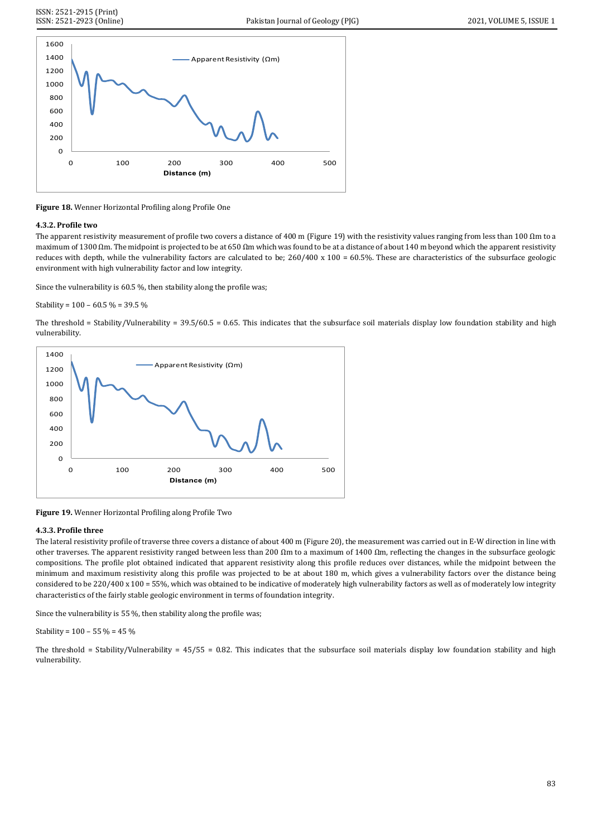

**Figure 18.** Wenner Horizontal Profiling along Profile One

#### **4.3.2. Profile two**

The apparent resistivity measurement of profile two covers a distance of 400 m (Figure 19) with the resistivity values ranging from less than 100  $\Omega$ m to a maximum of 1300 Ωm. The midpoint is projected to be at 650 Ωm which was found to be at a distance of about 140 m beyond which the apparent resistivity reduces with depth, while the vulnerability factors are calculated to be; 260/400 x 100 = 60.5%. These are characteristics of the subsurface geologic environment with high vulnerability factor and low integrity.

Since the vulnerability is 60.5 %, then stability along the profile was;

Stability =  $100 - 60.5$  % =  $39.5$  %

The threshold = Stability/Vulnerability =  $39.5/60.5 = 0.65$ . This indicates that the subsurface soil materials display low foundation stability and high vulnerability.



**Figure 19.** Wenner Horizontal Profiling along Profile Two

## **4.3.3. Profile three**

The lateral resistivity profile of traverse three covers a distance of about 400 m (Figure 20), the measurement was carried out in E-W direction in line with other traverses. The apparent resistivity ranged between less than 200  $\Omega$ m to a maximum of 1400  $\Omega$ m, reflecting the changes in the subsurface geologic compositions. The profile plot obtained indicated that apparent resistivity along this profile reduces over distances, while the midpoint between the minimum and maximum resistivity along this profile was projected to be at about 180 m, which gives a vulnerability factors over the distance being considered to be 220/400 x 100 = 55%, which was obtained to be indicative of moderately high vulnerability factors as well as of moderately low integrity characteristics of the fairly stable geologic environment in terms of foundation integrity.

Since the vulnerability is 55 %, then stability along the profile was;

Stability =  $100 - 55 \% = 45 \%$ 

The threshold = Stability/Vulnerability =  $45/55 = 0.82$ . This indicates that the subsurface soil materials display low foundation stability and high vulnerability.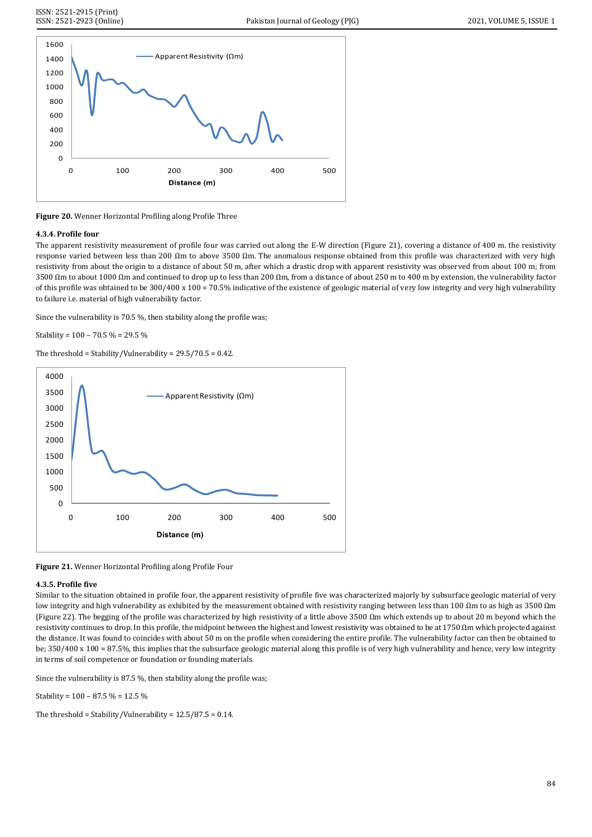

**Figure 20.** Wenner Horizontal Profiling along Profile Three

## **4.3.4. Profile four**

The apparent resistivity measurement of profile four was carried out along the E-W direction (Figure 21), covering a distance of 400 m. the resistivity response varied between less than 200 Ωm to above 3500 Ωm. The anomalous response obtained from this profile was characterized with very high resistivity from about the origin to a distance of about 50 m, after which a drastic drop with apparent resistivity was observed from about 100 m; from 3500 Ωm to about 1000 Ωm and continued to drop up to less than 200 Ωm, from a distance of about 250 m to 400 m by extension, the vulnerability factor of this profile was obtained to be 300/400 x 100 = 70.5% indicative of the existence of geologic material of very low integrity and very high vulnerability to failure i.e. material of high vulnerability factor.

Since the vulnerability is 70.5 %, then stability along the profile was;

Stability = 100 – 70.5 % = 29.5 %

The threshold = Stability/Vulnerability = 29.5/70.5 = 0.42.



**Figure 21.** Wenner Horizontal Profiling along Profile Four

#### **4.3.5. Profile five**

Similar to the situation obtained in profile four, the apparent resistivity of profile five was characterized majorly by subsurface geologic material of very low integrity and high vulnerability as exhibited by the measurement obtained with resistivity ranging between less than 100 Ωm to as high as 3500 Ωm (Figure 22). The begging of the profile was characterized by high resistivity of a little above 3500 Ωm which extends up to about 20 m beyond which the resistivity continues to drop. In this profile, the midpoint between the highest and lowest resistivity was obtained to be at 1750 Ωm which projected against the distance. It was found to coincides with about 50 m on the profile when considering the entire profile. The vulnerability factor can then be obtained to be; 350/400 x 100 = 87.5%, this implies that the subsurface geologic material along this profile is of very high vulnerability and hence, very low integrity in terms of soil competence or foundation or founding materials.

Since the vulnerability is 87.5 %, then stability along the profile was;

Stability = 100 – 87.5 % = 12.5 %

The threshold = Stability/Vulnerability =  $12.5/87.5 = 0.14$ .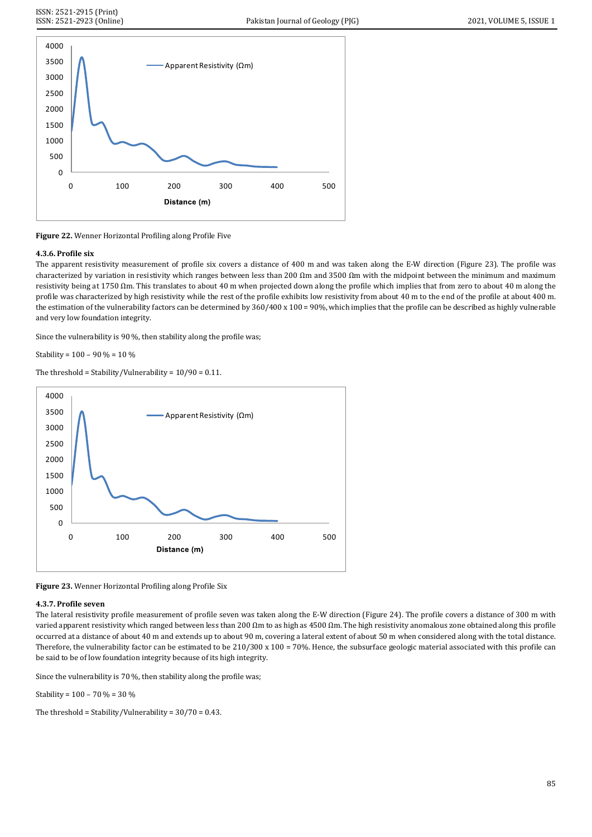

**Figure 22.** Wenner Horizontal Profiling along Profile Five

# **4.3.6. Profile six**

The apparent resistivity measurement of profile six covers a distance of 400 m and was taken along the E-W direction (Figure 23). The profile was characterized by variation in resistivity which ranges between less than 200 Ωm and 3500 Ωm with the midpoint between the minimum and maximum resistivity being at 1750 Ωm. This translates to about 40 m when projected down along the profile which implies that from zero to about 40 m along the profile was characterized by high resistivity while the rest of the profile exhibits low resistivity from about 40 m to the end of the profile at about 400 m. the estimation of the vulnerability factors can be determined by 360/400 x 100 = 90%, which implies that the profile can be described as highly vulnerable and very low foundation integrity.

Since the vulnerability is 90 %, then stability along the profile was;

Stability = 100 – 90 % = 10 %

The threshold = Stability/Vulnerability =  $10/90 = 0.11$ .



**Figure 23.** Wenner Horizontal Profiling along Profile Six

## **4.3.7. Profile seven**

The lateral resistivity profile measurement of profile seven was taken along the E-W direction (Figure 24). The profile covers a distance of 300 m with varied apparent resistivity which ranged between less than 200 Ωm to as high as 4500 Ωm. The high resistivity anomalous zone obtained along this profile occurred at a distance of about 40 m and extends up to about 90 m, covering a lateral extent of about 50 m when considered along with the total distance. Therefore, the vulnerability factor can be estimated to be  $210/300 \times 100 = 70\%$ . Hence, the subsurface geologic material associated with this profile can be said to be of low foundation integrity because of its high integrity.

Since the vulnerability is 70 %, then stability along the profile was;

Stability = 100 – 70 % = 30 %

The threshold = Stability/Vulnerability =  $30/70 = 0.43$ .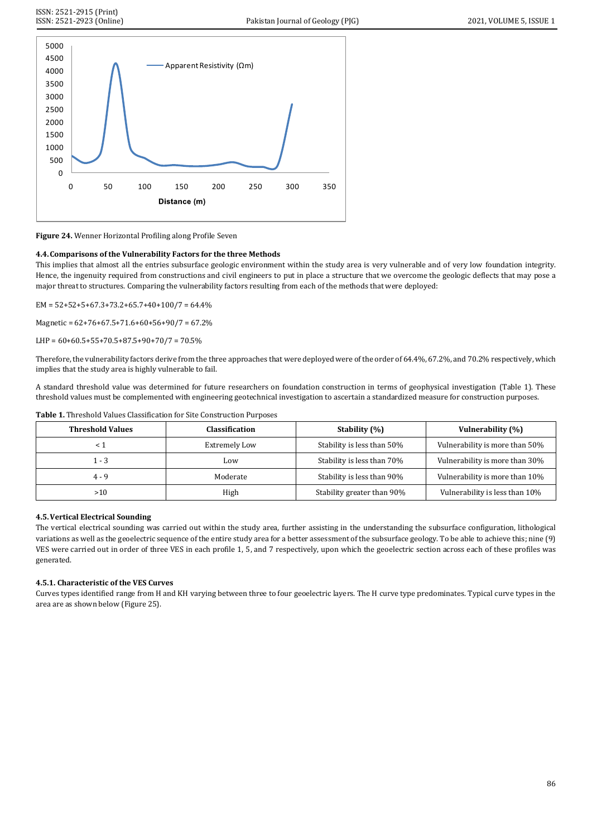



## **4.4.Comparisons of the Vulnerability Factors for the three Methods**

This implies that almost all the entries subsurface geologic environment within the study area is very vulnerable and of very low foundation integrity. Hence, the ingenuity required from constructions and civil engineers to put in place a structure that we overcome the geologic deflects that may pose a major threat to structures. Comparing the vulnerability factors resulting from each of the methods that were deployed:

 $EM = 52+52+5+67.3+73.2+65.7+40+100/7 = 64.4%$ 

Magnetic = 62+76+67.5+71.6+60+56+90/7 = 67.2%

LHP =  $60+60.5+55+70.5+87.5+90+70/7 = 70.5\%$ 

Therefore, the vulnerability factors derive from the three approaches that were deployed were of the order of 64.4%, 67.2%, and 70.2% respectively, which implies that the study area is highly vulnerable to fail.

A standard threshold value was determined for future researchers on foundation construction in terms of geophysical investigation (Table 1). These threshold values must be complemented with engineering geotechnical investigation to ascertain a standardized measure for construction purposes.

| <b>Threshold Values</b> | Classification       | Stability (%)              | Vulnerability (%)              |
|-------------------------|----------------------|----------------------------|--------------------------------|
|                         | <b>Extremely Low</b> | Stability is less than 50% | Vulnerability is more than 50% |
| $1 - 3$                 | Low                  | Stability is less than 70% | Vulnerability is more than 30% |
| $4 - 9$                 | Moderate             | Stability is less than 90% | Vulnerability is more than 10% |
| >10                     | High                 | Stability greater than 90% | Vulnerability is less than 10% |

#### **Table 1.** Threshold Values Classification for Site Construction Purposes

## **4.5.Vertical Electrical Sounding**

The vertical electrical sounding was carried out within the study area, further assisting in the understanding the subsurface configuration, lithological variations as well as the geoelectric sequence of the entire study area for a better assessment of the subsurface geology. To be able to achieve this; nine (9) VES were carried out in order of three VES in each profile 1, 5, and 7 respectively, upon which the geoelectric section across each of these profiles was generated.

## **4.5.1. Characteristic of the VES Curves**

Curves types identified range from H and KH varying between three to four geoelectric layers. The H curve type predominates. Typical curve types in the area are as shown below (Figure 25).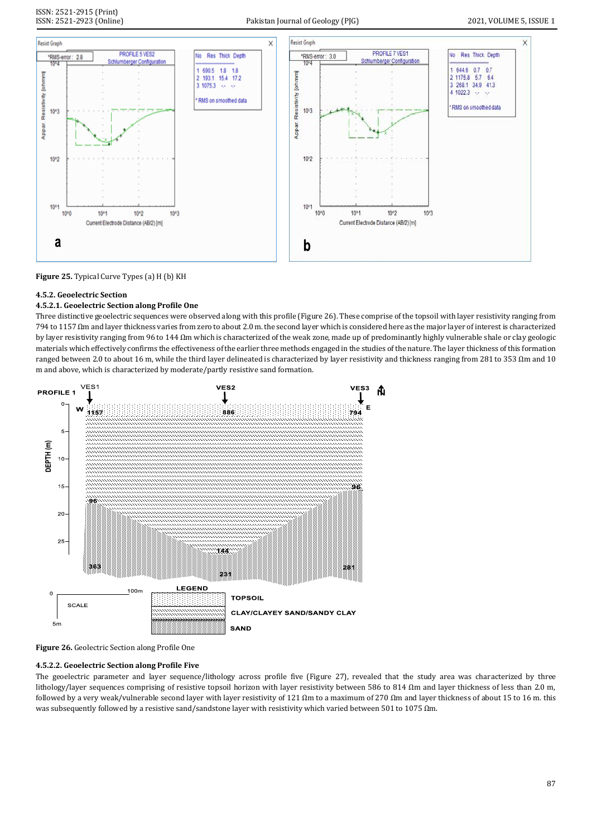



# **4.5.2. Geoelectric Section**

# **4.5.2.1. Geoelectric Section along Profile One**

Three distinctive geoelectric sequences were observed along with this profile (Figure 26). These comprise of the topsoil with layer resistivity ranging from 794 to 1157 Ωm and layer thickness varies from zero to about 2.0 m. the second layer which is considered here as the major layer of interest is characterized by layer resistivity ranging from 96 to 144 Ωm which is characterized of the weak zone, made up of predominantly highly vulnerable shale or clay geologic materials which effectively confirms the effectiveness of the earlier three methods engaged in the studies of the nature. The layer thickness of this formation ranged between 2.0 to about 16 m, while the third layer delineated is characterized by layer resistivity and thickness ranging from 281 to 353 Ωm and 10 m and above, which is characterized by moderate/partly resistive sand formation.



**Figure 26.** Geolectric Section along Profile One

## **4.5.2.2. Geoelectric Section along Profile Five**

The geoelectric parameter and layer sequence/lithology across profile five (Figure 27), revealed that the study area was characterized by three lithology/layer sequences comprising of resistive topsoil horizon with layer resistivity between 586 to 814 Ωm and layer thickness of less than 2.0 m, followed by a very weak/vulnerable second layer with layer resistivity of 121  $\Omega$ m to a maximum of 270  $\Omega$ m and layer thickness of about 15 to 16 m. this was subsequently followed by a resistive sand/sandstone layer with resistivity which varied between 501 to 1075  $\Omega$ m.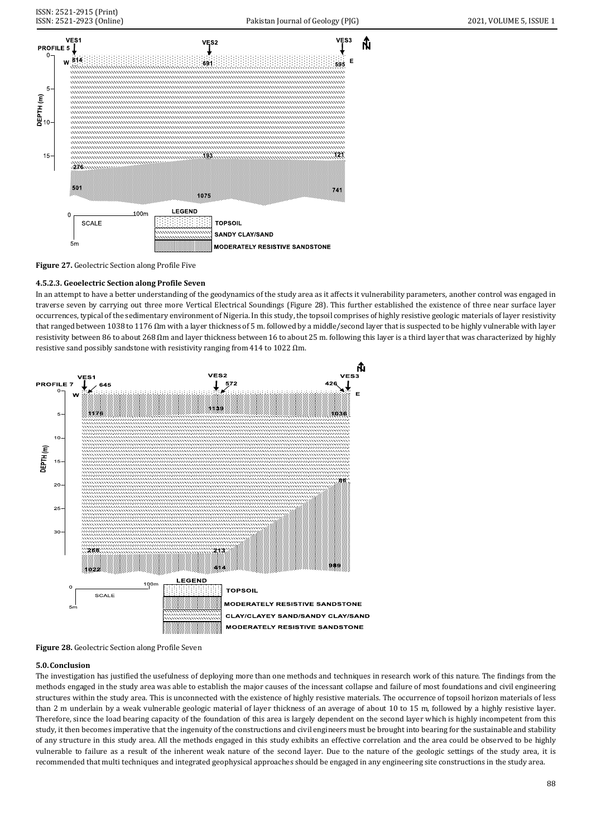ĥ



**Figure 27.** Geolectric Section along Profile Five

# **4.5.2.3. Geoelectric Section along Profile Seven**

In an attempt to have a better understanding of the geodynamics of the study area as it affects it vulnerability parameters, another control was engaged in traverse seven by carrying out three more Vertical Electrical Soundings (Figure 28). This further established the existence of three near surface layer occurrences, typical of the sedimentary environment of Nigeria. In this study, the topsoil comprises of highly resistive geologic materials of layer resistivity that ranged between 1038 to 1176 Ωm with a layer thickness of 5 m. followed by a middle/second layer that is suspected to be highly vulnerable with layer resistivity between 86 to about 268 Ωm and layer thickness between 16 to about 25 m. following this layer is a third layer that was characterized by highly resistive sand possibly sandstone with resistivity ranging from 414 to 1022 Ωm.



**Figure 28.** Geolectric Section along Profile Seven

## **5.0.Conclusion**

The investigation has justified the usefulness of deploying more than one methods and techniques in research work of this nature. The findings from the methods engaged in the study area was able to establish the major causes of the incessant collapse and failure of most foundations and civil engineering structures within the study area. This is unconnected with the existence of highly resistive materials. The occurrence of topsoil horizon materials of less than 2 m underlain by a weak vulnerable geologic material of layer thickness of an average of about 10 to 15 m, followed by a highly resistive layer. Therefore, since the load bearing capacity of the foundation of this area is largely dependent on the second layer which is highly incompetent from this study, it then becomes imperative that the ingenuity of the constructions and civil engineers must be brought into bearing for the sustainable and stability of any structure in this study area. All the methods engaged in this study exhibits an effective correlation and the area could be observed to be highly vulnerable to failure as a result of the inherent weak nature of the second layer. Due to the nature of the geologic settings of the study area, it is recommended that multi techniques and integrated geophysical approaches should be engaged in any engineering site constructions in the study area.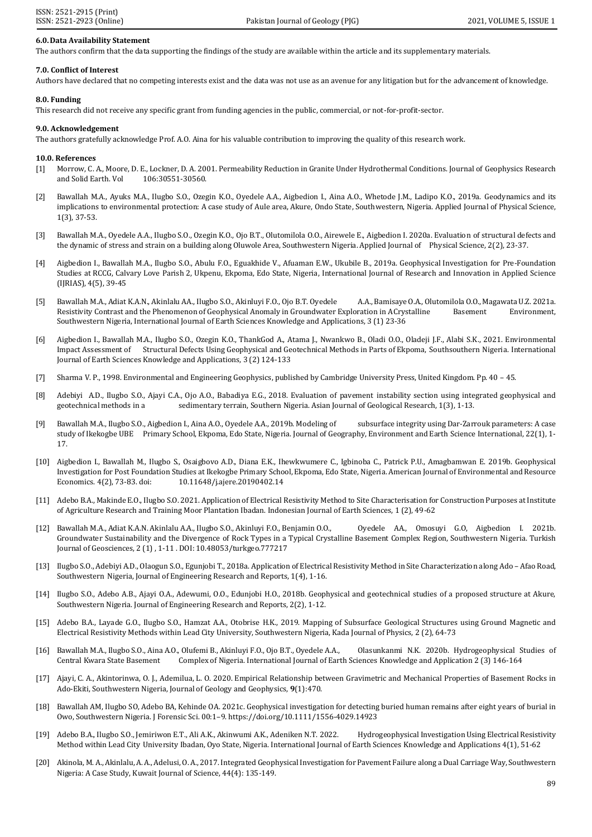#### **6.0.Data Availability Statement**

The authors confirm that the data supporting the findings of the study are available within the article and its supplementary materials.

#### **7.0. Conflict of Interest**

Authors have declared that no competing interests exist and the data was not use as an avenue for any litigation but for the advancement of knowledge.

#### **8.0. Funding**

This research did not receive any specific grant from funding agencies in the public, commercial, or not-for-profit-sector.

#### **9.0. Acknowledgement**

The authors gratefully acknowledge Prof. A.O. Aina for his valuable contribution to improving the quality of this research work.

#### **10.0. References**

- [1] Morrow, C. A., Moore, D. E., Lockner, D. A. 2001. Permeability Reduction in Granite Under Hydrothermal Conditions. Journal of Geophysics Research and Solid Earth. Vol 106:30551-30560.
- [2] Bawallah M.A., Ayuks M.A., Ilugbo S.O., Ozegin K.O., Oyedele A.A., Aigbedion I., Aina A.O., Whetode J.M., Ladipo K.O., 2019a. Geodynamics and its implications to environmental protection: A case study of Aule area, Akure, Ondo State, Southwestern, Nigeria. Applied Journal of Physical Science, 1(3), 37-53.
- [3] Bawallah M.A., Oyedele A.A., Ilugbo S.O., Ozegin K.O., Ojo B.T., Olutomilola O.O., Airewele E., Aigbedion I. 2020a. Evaluation of structural defects and the dynamic of stress and strain on a building along Oluwole Area, Southwestern Nigeria. Applied Journal of Physical Science, 2(2), 23-37.
- [4] Aigbedion I., Bawallah M.A., Ilugbo S.O., Abulu F.O., Eguakhide V., Afuaman E.W., Ukubile B., 2019a. Geophysical Investigation for Pre-Foundation Studies at RCCG, Calvary Love Parish 2, Ukpenu, Ekpoma, Edo State, Nigeria, International Journal of Research and Innovation in Applied Science (IJRIAS), 4(5), 39-45
- [5] Bawallah M.A., Adiat K.A.N., Akinlalu AA., Ilugbo S.O., Akinluyi F.O., Ojo B.T. Oyedele A.A., Bamisaye O.A., Olutomilola O.O., Magawata U.Z. 2021a. Resistivity Contrast and the Phenomenon of Geophysical Anomaly in Groundwater Exploration in A Crystalline Basement Environment, Southwestern Nigeria, International Journal of Earth Sciences Knowledge and Applications, 3 (1) 23-36
- [6] Aigbedion I., Bawallah M.A., Ilugbo S.O., Ozegin K.O., ThankGod A., Atama J., Nwankwo B., Oladi O.O., Oladeji J.F., Alabi S.K., 2021. Environmental Impact Assessment of Structural Defects Using Geophysical and Geotechnical Methods in Parts of Ekpoma, Southsouthern Nigeria. International Journal of Earth Sciences Knowledge and Applications, 3 (2) 124-133
- [7] Sharma V. P., 1998. Environmental and Engineering Geophysics, published by Cambridge University Press, United Kingdom. Pp. 40 45.
- [8] Adebiyi A.D., Ilugbo S.O., Ajayi C.A., Ojo A.O., Babadiya E.G., 2018. Evaluation of pavement instability section using integrated geophysical and geotechnical methods in a sedimentary terrain, Southern Nigeria. Asian Journal of Geological Research, 1(3), 1-13.
- [9] Bawallah M.A., Ilugbo S.O., Aigbedion I., Aina A.O., Oyedele A.A., 2019b. Modeling of subsurface integrity using Dar-Zarrouk parameters: A case study of Ikekogbe UBE Primary School, Ekpoma, Edo State, Nigeria. Journal of Geography, Environment and Earth Science International, 22(1), 1- 17.
- [10] Aigbedion I., Bawallah M., Ilugbo S., Osaigbovo A.D., Diana E.K., Ihewkwumere C., Igbinoba C., Patrick P.U., Amagbamwan E. 2019b. Geophysical Investigation for Post Foundation Studies at Ikekogbe Primary School, Ekpoma, Edo State, Nigeria. American Journal of Environmental and Resource Economics. 4(2), 73-83. doi: 10.11648/j.ajere.20190402.14
- [11] Adebo B.A., Makinde E.O., Ilugbo S.O. 2021. Application of Electrical Resistivity Method to Site Characterisation for Construction Purposes at Institute of Agriculture Research and Training Moor Plantation Ibadan. Indonesian Journal of Earth Sciences, 1 (2), 49-62
- [12] Bawallah M.A., Adiat K.A.N. Akinlalu A.A., Ilugbo S.O., Akinluyi F.O., Benjamin O.O., Oyedele AA., Omosuyi G.O, Aigbedion I. 2021b. Groundwater Sustainability and the Divergence of Rock Types in a Typical Crystalline Basement Complex Region, Southwestern Nigeria. Turkish Journal of Geosciences, 2 (1) , 1-11 . DOI: 10.48053/turkgeo.777217
- [13] Ilugbo S.O., Adebiyi A.D., Olaogun S.O., Egunjobi T., 2018a. Application of Electrical Resistivity Method in Site Characterization along Ado Afao Road, Southwestern Nigeria, Journal of Engineering Research and Reports, 1(4), 1-16.
- [14] Ilugbo S.O., Adebo A.B., Ajayi O.A., Adewumi, O.O., Edunjobi H.O., 2018b. Geophysical and geotechnical studies of a proposed structure at Akure, Southwestern Nigeria. Journal of Engineering Research and Reports, 2(2), 1-12.
- [15] Adebo B.A., Layade G.O., Ilugbo S.O., Hamzat A.A., Otobrise H.K., 2019. Mapping of Subsurface Geological Structures using Ground Magnetic and Electrical Resistivity Methods within Lead City University, Southwestern Nigeria, Kada Journal of Physics, 2 (2), 64-73
- [16] Bawallah M.A., Ilugbo S.O., Aina A.O., Olufemi B., Akinluyi F.O., Ojo B.T., Oyedele A.A., Olasunkanmi N.K. 2020b. Hydrogeophysical Studies of Central Kwara State Basement Complex of Nigeria. International Journal of Earth Sciences Knowledge and Application 2 (3) 146-164
- [17] Ajayi, C. A., Akintorinwa, O. J., Ademilua, L. O. 2020. Empirical Relationship between Gravimetric and Mechanical Properties of Basement Rocks in Ado-Ekiti, Southwestern Nigeria, Journal of Geology and Geophysics, **9**(1):470.
- [18] Bawallah AM, Ilugbo SO, Adebo BA, Kehinde OA. 2021c. Geophysical investigation for detecting buried human remains after eight years of burial in Owo, Southwestern Nigeria. J Forensic Sci. 00:1–9[. https://doi.org/10.1111/1556-4029.14923](https://doi.org/10.1111/1556-4029.14923)
- [19] Adebo B.A., Ilugbo S.O., Jemiriwon E.T., Ali A.K., Akinwumi A.K., Adeniken N.T. 2022. Hydrogeophysical Investigation Using Electrical Resistivity Method within Lead City University Ibadan, Oyo State, Nigeria. International Journal of Earth Sciences Knowledge and Applications 4(1), 51-62
- [20] Akinola, M. A., Akinlalu, A. A., Adelusi, O. A., 2017. Integrated Geophysical Investigation for Pavement Failure along a Dual Carriage Way, Southwestern Nigeria: A Case Study, Kuwait Journal of Science, 44(4): 135-149.